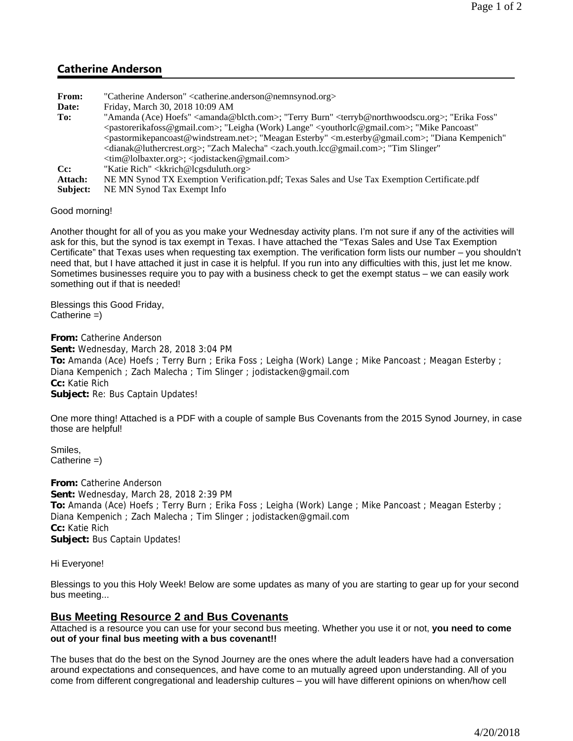# **Catherine Anderson**

**From:** "Catherine Anderson" <catherine.anderson@nemnsynod.org> **Date:** Friday, March 30, 2018 10:09 AM To: "Amanda (Ace) Hoefs" <amanda@blcth.com>; "Terry Burn" <terryb@northwoodscu.org>; "Erika Foss" <pastorerikafoss@gmail.com>; "Leigha (Work) Lange" <youthorlc@gmail.com>; "Mike Pancoast" <pastormikepancoast@windstream.net>; "Meagan Esterby" <m.esterby@gmail.com>; "Diana Kempenich" <dianak@luthercrest.org>; "Zach Malecha" <zach.youth.lcc@gmail.com>; "Tim Slinger" <tim@lolbaxter.org>; <jodistacken@gmail.com> Cc: "Katie Rich" <kkrich@lcgsduluth.org> **Attach:** NE MN Synod TX Exemption Verification.pdf; Texas Sales and Use Tax Exemption Certificate.pdf **Subject:** NE MN Synod Tax Exempt Info

Good morning!

Another thought for all of you as you make your Wednesday activity plans. I'm not sure if any of the activities will ask for this, but the synod is tax exempt in Texas. I have attached the "Texas Sales and Use Tax Exemption Certificate" that Texas uses when requesting tax exemption. The verification form lists our number – you shouldn't need that, but I have attached it just in case it is helpful. If you run into any difficulties with this, just let me know. Sometimes businesses require you to pay with a business check to get the exempt status – we can easily work something out if that is needed!

Blessings this Good Friday,  $Catherine =)$ 

**From:** Catherine Anderson **Sent:** Wednesday, March 28, 2018 3:04 PM **To:** Amanda (Ace) Hoefs ; Terry Burn ; Erika Foss ; Leigha (Work) Lange ; Mike Pancoast ; Meagan Esterby ; Diana Kempenich ; Zach Malecha ; Tim Slinger ; jodistacken@gmail.com **Cc:** Katie Rich **Subject:** Re: Bus Captain Updates!

One more thing! Attached is a PDF with a couple of sample Bus Covenants from the 2015 Synod Journey, in case those are helpful!

Smiles,  $C$ atherine  $=$ )

**From:** Catherine Anderson **Sent:** Wednesday, March 28, 2018 2:39 PM **To:** Amanda (Ace) Hoefs ; Terry Burn ; Erika Foss ; Leigha (Work) Lange ; Mike Pancoast ; Meagan Esterby ; Diana Kempenich ; Zach Malecha ; Tim Slinger ; jodistacken@gmail.com **Cc:** Katie Rich **Subject:** Bus Captain Updates!

Hi Everyone!

Blessings to you this Holy Week! Below are some updates as many of you are starting to gear up for your second bus meeting...

## **Bus Meeting Resource 2 and Bus Covenants**

Attached is a resource you can use for your second bus meeting. Whether you use it or not, **you need to come out of your final bus meeting with a bus covenant!!**

The buses that do the best on the Synod Journey are the ones where the adult leaders have had a conversation around expectations and consequences, and have come to an mutually agreed upon understanding. All of you come from different congregational and leadership cultures – you will have different opinions on when/how cell